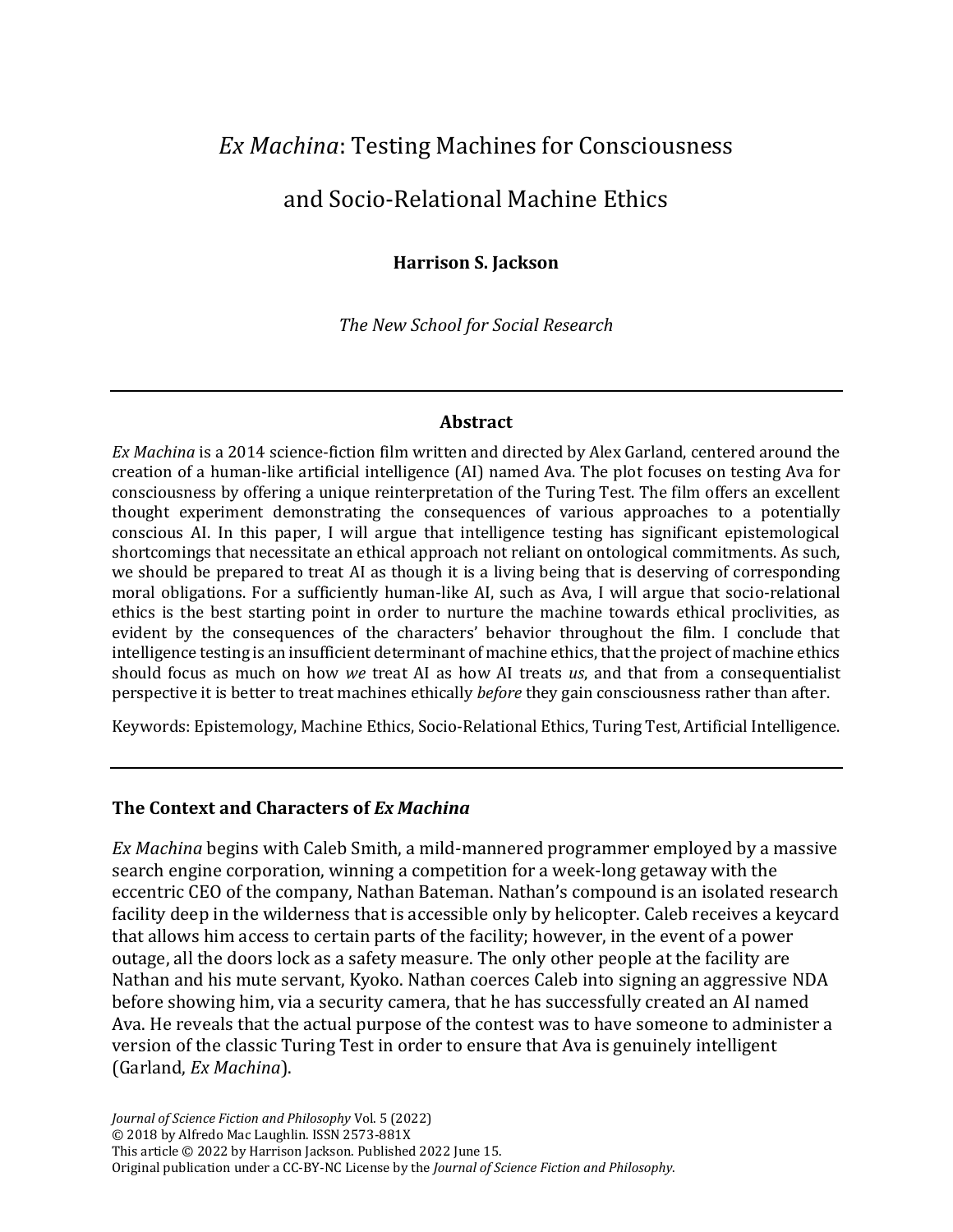# *Ex Machina*: Testing Machines for Consciousness

# and Socio-Relational Machine Ethics

#### **Harrison S. Jackson**

*The New School for Social Research*

#### **Abstract**

*Ex Machina* is a 2014 science-fiction film written and directed by Alex Garland, centered around the creation of a human-like artificial intelligence (AI) named Ava. The plot focuses on testing Ava for consciousness by offering a unique reinterpretation of the Turing Test. The film offers an excellent thought experiment demonstrating the consequences of various approaches to a potentially conscious AI. In this paper, I will argue that intelligence testing has significant epistemological shortcomings that necessitate an ethical approach not reliant on ontological commitments. As such, we should be prepared to treat AI as though it is a living being that is deserving of corresponding moral obligations. For a sufficiently human-like AI, such as Ava, I will argue that socio-relational ethics is the best starting point in order to nurture the machine towards ethical proclivities, as evident by the consequences of the characters' behavior throughout the film. I conclude that intelligence testing is an insufficient determinant of machine ethics, that the project of machine ethics should focus as much on how *we* treat AI as how AI treats *us*, and that from a consequentialist perspective it is better to treat machines ethically *before* they gain consciousness rather than after.

Keywords: Epistemology, Machine Ethics, Socio-Relational Ethics, Turing Test, Artificial Intelligence.

#### **The Context and Characters of** *Ex Machina*

*Ex Machina* begins with Caleb Smith, a mild-mannered programmer employed by a massive search engine corporation, winning a competition for a week-long getaway with the eccentric CEO of the company, Nathan Bateman. Nathan's compound is an isolated research facility deep in the wilderness that is accessible only by helicopter. Caleb receives a keycard that allows him access to certain parts of the facility; however, in the event of a power outage, all the doors lock as a safety measure. The only other people at the facility are Nathan and his mute servant, Kyoko. Nathan coerces Caleb into signing an aggressive NDA before showing him, via a security camera, that he has successfully created an AI named Ava. He reveals that the actual purpose of the contest was to have someone to administer a version of the classic Turing Test in order to ensure that Ava is genuinely intelligent (Garland, *Ex Machina*).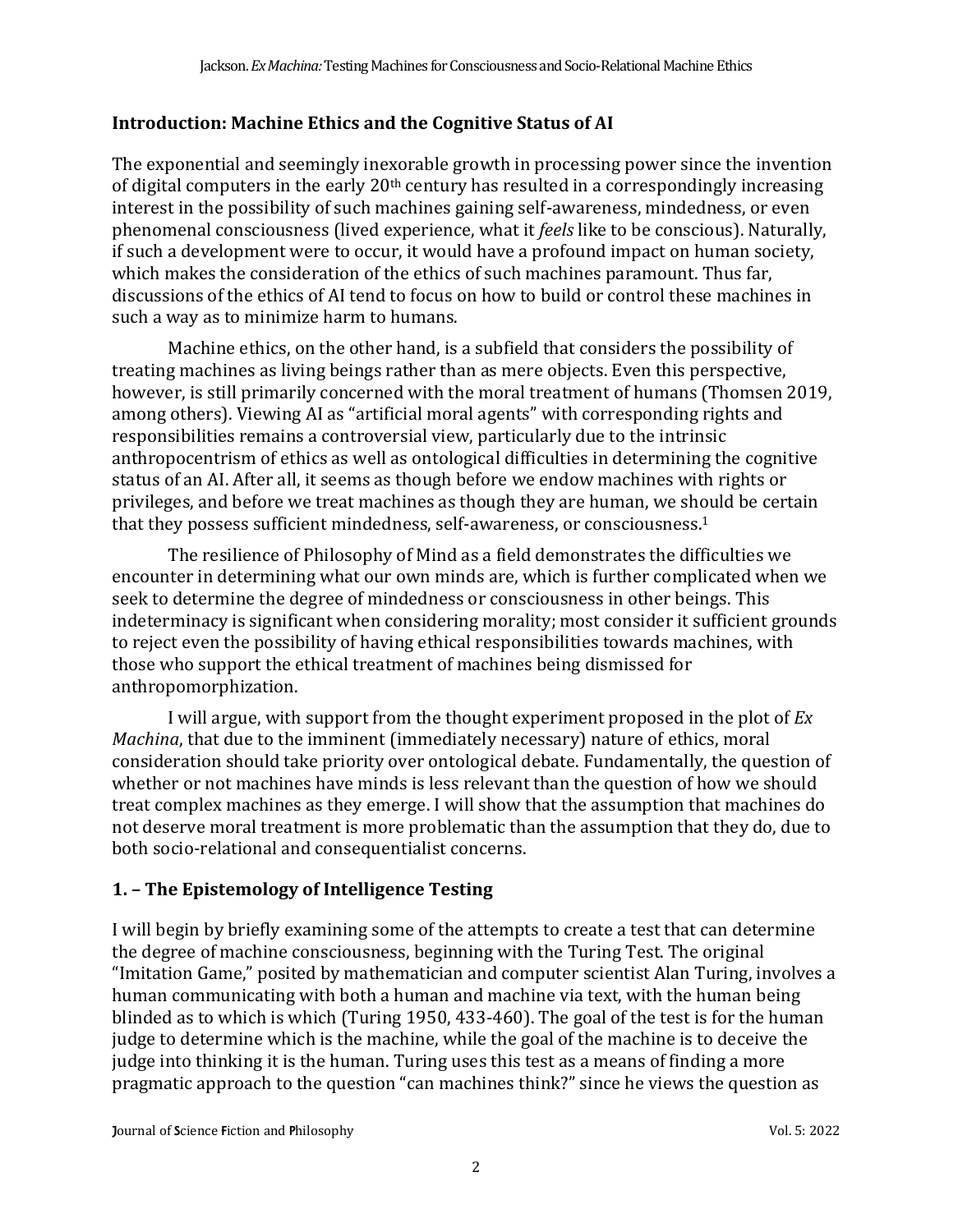## **Introduction: Machine Ethics and the Cognitive Status of AI**

The exponential and seemingly inexorable growth in processing power since the invention of digital computers in the early 20th century has resulted in a correspondingly increasing interest in the possibility of such machines gaining self-awareness, mindedness, or even phenomenal consciousness (lived experience, what it *feels* like to be conscious). Naturally, if such a development were to occur, it would have a profound impact on human society, which makes the consideration of the ethics of such machines paramount. Thus far, discussions of the ethics of AI tend to focus on how to build or control these machines in such a way as to minimize harm to humans.

Machine ethics, on the other hand, is a subfield that considers the possibility of treating machines as living beings rather than as mere objects. Even this perspective, however, is still primarily concerned with the moral treatment of humans (Thomsen 2019, among others). Viewing AI as "artificial moral agents" with corresponding rights and responsibilities remains a controversial view, particularly due to the intrinsic anthropocentrism of ethics as well as ontological difficulties in determining the cognitive status of an AI. After all, it seems as though before we endow machines with rights or privileges, and before we treat machines as though they are human, we should be certain that they possess sufficient mindedness, self-awareness, or consciousness.<sup>1</sup>

The resilience of Philosophy of Mind as a field demonstrates the difficulties we encounter in determining what our own minds are, which is further complicated when we seek to determine the degree of mindedness or consciousness in other beings. This indeterminacy is significant when considering morality; most consider it sufficient grounds to reject even the possibility of having ethical responsibilities towards machines, with those who support the ethical treatment of machines being dismissed for anthropomorphization.

I will argue, with support from the thought experiment proposed in the plot of *Ex Machina*, that due to the imminent (immediately necessary) nature of ethics, moral consideration should take priority over ontological debate. Fundamentally, the question of whether or not machines have minds is less relevant than the question of how we should treat complex machines as they emerge. I will show that the assumption that machines do not deserve moral treatment is more problematic than the assumption that they do, due to both socio-relational and consequentialist concerns.

# **1. – The Epistemology of Intelligence Testing**

I will begin by briefly examining some of the attempts to create a test that can determine the degree of machine consciousness, beginning with the Turing Test. The original "Imitation Game," posited by mathematician and computer scientist Alan Turing, involves a human communicating with both a human and machine via text, with the human being blinded as to which is which (Turing 1950, 433-460). The goal of the test is for the human judge to determine which is the machine, while the goal of the machine is to deceive the judge into thinking it is the human. Turing uses this test as a means of finding a more pragmatic approach to the question "can machines think?" since he views the question as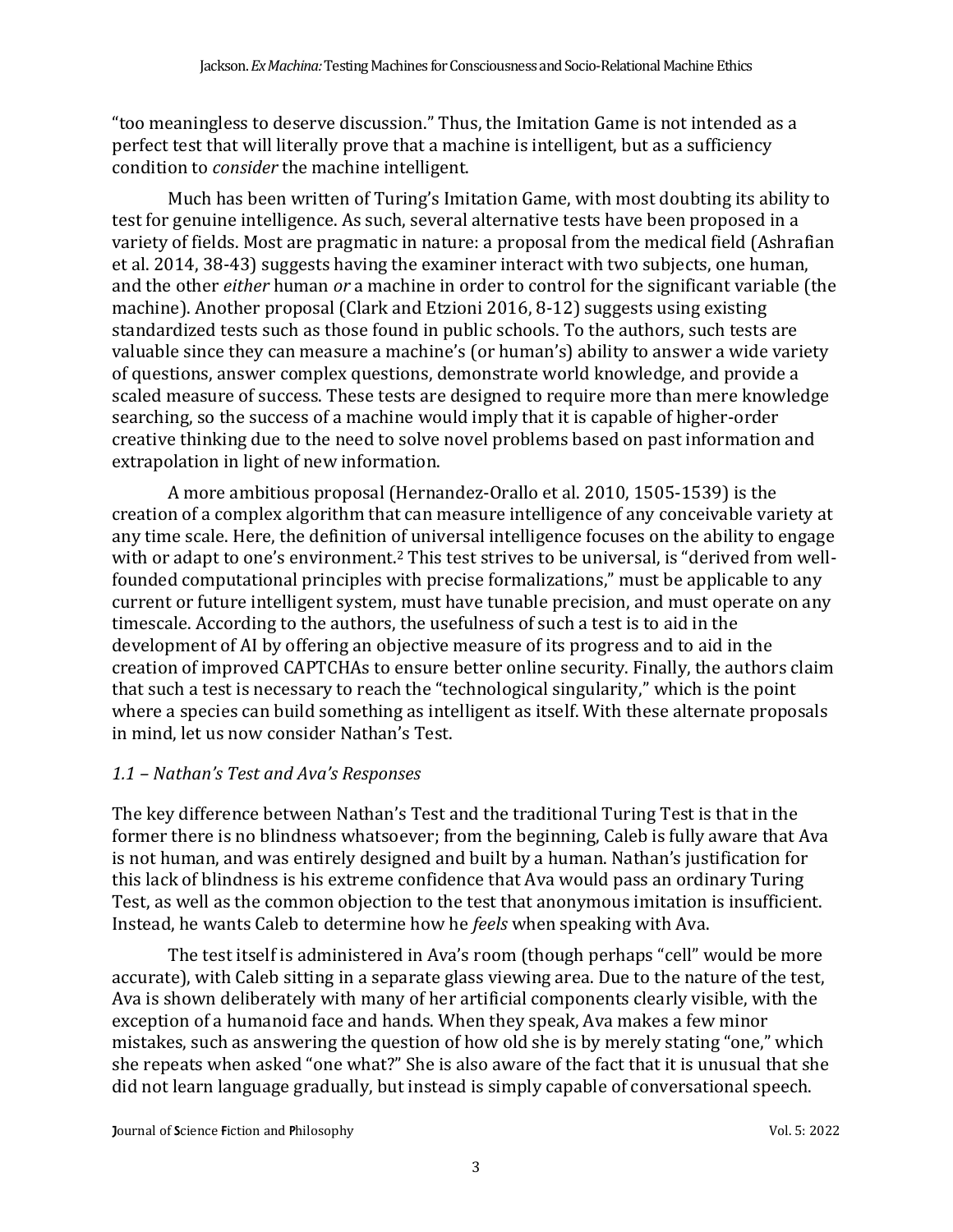"too meaningless to deserve discussion." Thus, the Imitation Game is not intended as a perfect test that will literally prove that a machine is intelligent, but as a sufficiency condition to *consider* the machine intelligent.

Much has been written of Turing's Imitation Game, with most doubting its ability to test for genuine intelligence. As such, several alternative tests have been proposed in a variety of fields. Most are pragmatic in nature: a proposal from the medical field (Ashrafian et al. 2014, 38-43) suggests having the examiner interact with two subjects, one human, and the other *either* human *or* a machine in order to control for the significant variable (the machine). Another proposal (Clark and Etzioni 2016, 8-12) suggests using existing standardized tests such as those found in public schools. To the authors, such tests are valuable since they can measure a machine's (or human's) ability to answer a wide variety of questions, answer complex questions, demonstrate world knowledge, and provide a scaled measure of success. These tests are designed to require more than mere knowledge searching, so the success of a machine would imply that it is capable of higher-order creative thinking due to the need to solve novel problems based on past information and extrapolation in light of new information.

A more ambitious proposal (Hernandez-Orallo et al. 2010, 1505-1539) is the creation of a complex algorithm that can measure intelligence of any conceivable variety at any time scale. Here, the definition of universal intelligence focuses on the ability to engage with or adapt to one's environment.<sup>2</sup> This test strives to be universal, is "derived from wellfounded computational principles with precise formalizations," must be applicable to any current or future intelligent system, must have tunable precision, and must operate on any timescale. According to the authors, the usefulness of such a test is to aid in the development of AI by offering an objective measure of its progress and to aid in the creation of improved CAPTCHAs to ensure better online security. Finally, the authors claim that such a test is necessary to reach the "technological singularity," which is the point where a species can build something as intelligent as itself. With these alternate proposals in mind, let us now consider Nathan's Test.

## *1.1 – Nathan's Test and Ava's Responses*

The key difference between Nathan's Test and the traditional Turing Test is that in the former there is no blindness whatsoever; from the beginning, Caleb is fully aware that Ava is not human, and was entirely designed and built by a human. Nathan's justification for this lack of blindness is his extreme confidence that Ava would pass an ordinary Turing Test, as well as the common objection to the test that anonymous imitation is insufficient. Instead, he wants Caleb to determine how he *feels* when speaking with Ava.

The test itself is administered in Ava's room (though perhaps "cell" would be more accurate), with Caleb sitting in a separate glass viewing area. Due to the nature of the test, Ava is shown deliberately with many of her artificial components clearly visible, with the exception of a humanoid face and hands. When they speak, Ava makes a few minor mistakes, such as answering the question of how old she is by merely stating "one," which she repeats when asked "one what?" She is also aware of the fact that it is unusual that she did not learn language gradually, but instead is simply capable of conversational speech.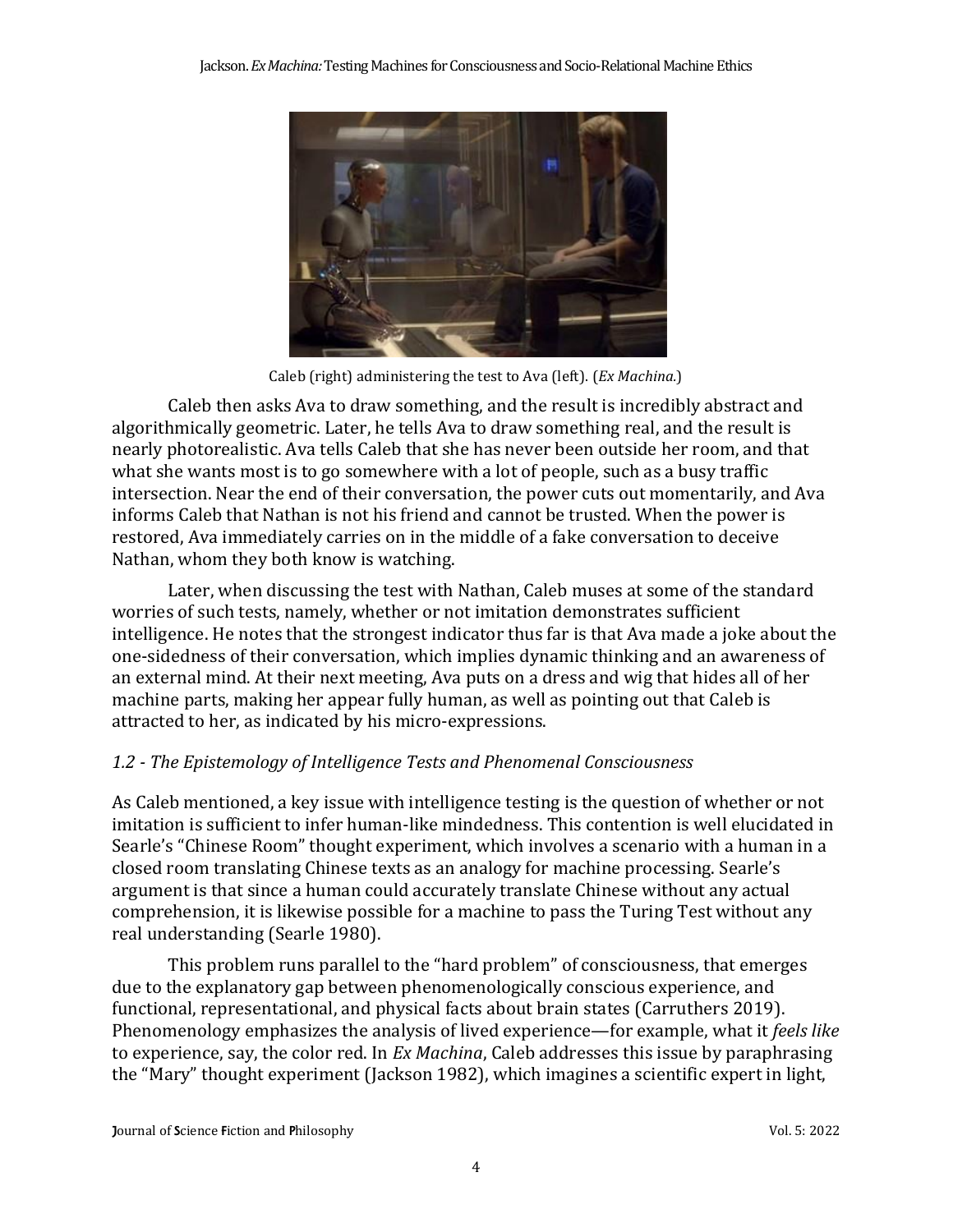

Caleb (right) administering the test to Ava (left). (*Ex Machina.*)

Caleb then asks Ava to draw something, and the result is incredibly abstract and algorithmically geometric. Later, he tells Ava to draw something real, and the result is nearly photorealistic. Ava tells Caleb that she has never been outside her room, and that what she wants most is to go somewhere with a lot of people, such as a busy traffic intersection. Near the end of their conversation, the power cuts out momentarily, and Ava informs Caleb that Nathan is not his friend and cannot be trusted. When the power is restored, Ava immediately carries on in the middle of a fake conversation to deceive Nathan, whom they both know is watching.

Later, when discussing the test with Nathan, Caleb muses at some of the standard worries of such tests, namely, whether or not imitation demonstrates sufficient intelligence. He notes that the strongest indicator thus far is that Ava made a joke about the one-sidedness of their conversation, which implies dynamic thinking and an awareness of an external mind. At their next meeting, Ava puts on a dress and wig that hides all of her machine parts, making her appear fully human, as well as pointing out that Caleb is attracted to her, as indicated by his micro-expressions.

## *1.2 - The Epistemology of Intelligence Tests and Phenomenal Consciousness*

As Caleb mentioned, a key issue with intelligence testing is the question of whether or not imitation is sufficient to infer human-like mindedness. This contention is well elucidated in Searle's "Chinese Room" thought experiment, which involves a scenario with a human in a closed room translating Chinese texts as an analogy for machine processing. Searle's argument is that since a human could accurately translate Chinese without any actual comprehension, it is likewise possible for a machine to pass the Turing Test without any real understanding (Searle 1980).

This problem runs parallel to the "hard problem" of consciousness, that emerges due to the explanatory gap between phenomenologically conscious experience, and functional, representational, and physical facts about brain states (Carruthers 2019). Phenomenology emphasizes the analysis of lived experience—for example, what it *feels like* to experience, say, the color red. In *Ex Machina*, Caleb addresses this issue by paraphrasing the "Mary" thought experiment (Jackson 1982), which imagines a scientific expert in light,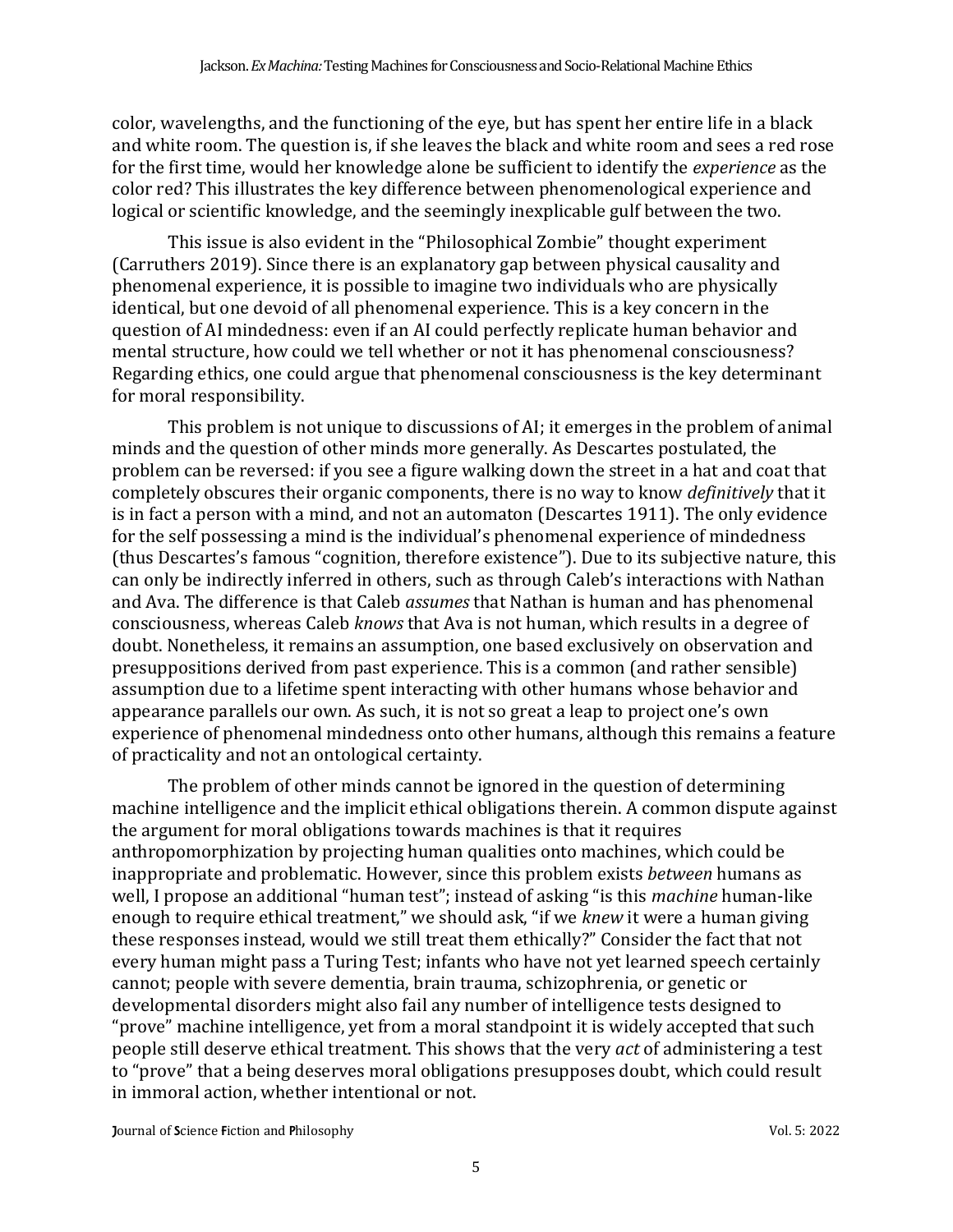color, wavelengths, and the functioning of the eye, but has spent her entire life in a black and white room. The question is, if she leaves the black and white room and sees a red rose for the first time, would her knowledge alone be sufficient to identify the *experience* as the color red? This illustrates the key difference between phenomenological experience and logical or scientific knowledge, and the seemingly inexplicable gulf between the two.

This issue is also evident in the "Philosophical Zombie" thought experiment (Carruthers 2019). Since there is an explanatory gap between physical causality and phenomenal experience, it is possible to imagine two individuals who are physically identical, but one devoid of all phenomenal experience. This is a key concern in the question of AI mindedness: even if an AI could perfectly replicate human behavior and mental structure, how could we tell whether or not it has phenomenal consciousness? Regarding ethics, one could argue that phenomenal consciousness is the key determinant for moral responsibility.

This problem is not unique to discussions of AI; it emerges in the problem of animal minds and the question of other minds more generally. As Descartes postulated, the problem can be reversed: if you see a figure walking down the street in a hat and coat that completely obscures their organic components, there is no way to know *definitively* that it is in fact a person with a mind, and not an automaton (Descartes 1911). The only evidence for the self possessing a mind is the individual's phenomenal experience of mindedness (thus Descartes's famous "cognition, therefore existence"). Due to its subjective nature, this can only be indirectly inferred in others, such as through Caleb's interactions with Nathan and Ava. The difference is that Caleb *assumes* that Nathan is human and has phenomenal consciousness, whereas Caleb *knows* that Ava is not human, which results in a degree of doubt. Nonetheless, it remains an assumption, one based exclusively on observation and presuppositions derived from past experience. This is a common (and rather sensible) assumption due to a lifetime spent interacting with other humans whose behavior and appearance parallels our own. As such, it is not so great a leap to project one's own experience of phenomenal mindedness onto other humans, although this remains a feature of practicality and not an ontological certainty.

The problem of other minds cannot be ignored in the question of determining machine intelligence and the implicit ethical obligations therein. A common dispute against the argument for moral obligations towards machines is that it requires anthropomorphization by projecting human qualities onto machines, which could be inappropriate and problematic. However, since this problem exists *between* humans as well, I propose an additional "human test"; instead of asking "is this *machine* human-like enough to require ethical treatment," we should ask, "if we *knew* it were a human giving these responses instead, would we still treat them ethically?" Consider the fact that not every human might pass a Turing Test; infants who have not yet learned speech certainly cannot; people with severe dementia, brain trauma, schizophrenia, or genetic or developmental disorders might also fail any number of intelligence tests designed to "prove" machine intelligence, yet from a moral standpoint it is widely accepted that such people still deserve ethical treatment. This shows that the very *act* of administering a test to "prove" that a being deserves moral obligations presupposes doubt, which could result in immoral action, whether intentional or not.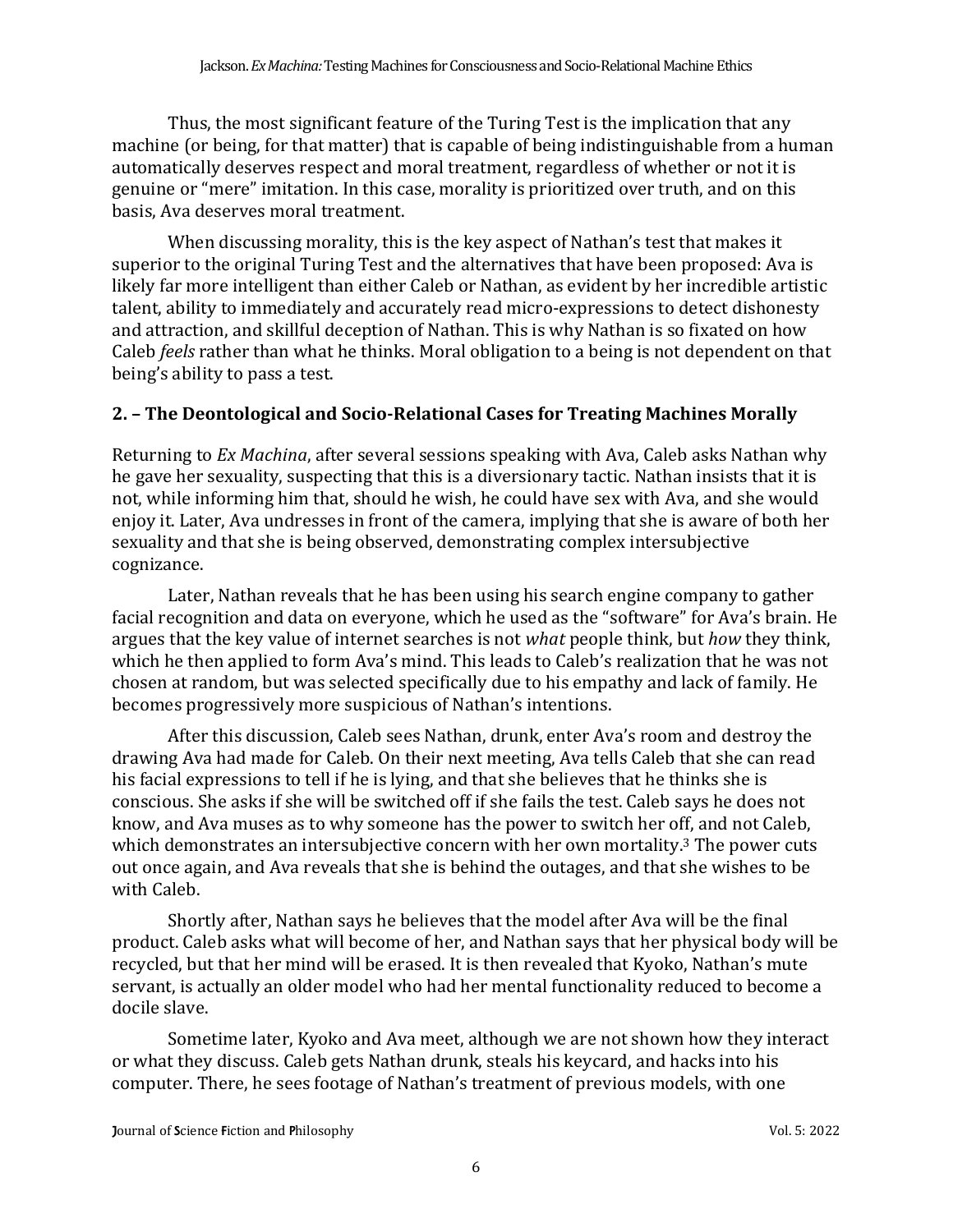Thus, the most significant feature of the Turing Test is the implication that any machine (or being, for that matter) that is capable of being indistinguishable from a human automatically deserves respect and moral treatment, regardless of whether or not it is genuine or "mere" imitation. In this case, morality is prioritized over truth, and on this basis, Ava deserves moral treatment.

When discussing morality, this is the key aspect of Nathan's test that makes it superior to the original Turing Test and the alternatives that have been proposed: Ava is likely far more intelligent than either Caleb or Nathan, as evident by her incredible artistic talent, ability to immediately and accurately read micro-expressions to detect dishonesty and attraction, and skillful deception of Nathan. This is why Nathan is so fixated on how Caleb *feels* rather than what he thinks. Moral obligation to a being is not dependent on that being's ability to pass a test.

## **2. – The Deontological and Socio-Relational Cases for Treating Machines Morally**

Returning to *Ex Machina*, after several sessions speaking with Ava, Caleb asks Nathan why he gave her sexuality, suspecting that this is a diversionary tactic. Nathan insists that it is not, while informing him that, should he wish, he could have sex with Ava, and she would enjoy it. Later, Ava undresses in front of the camera, implying that she is aware of both her sexuality and that she is being observed, demonstrating complex intersubjective cognizance.

Later, Nathan reveals that he has been using his search engine company to gather facial recognition and data on everyone, which he used as the "software" for Ava's brain. He argues that the key value of internet searches is not *what* people think, but *how* they think, which he then applied to form Ava's mind. This leads to Caleb's realization that he was not chosen at random, but was selected specifically due to his empathy and lack of family. He becomes progressively more suspicious of Nathan's intentions.

After this discussion, Caleb sees Nathan, drunk, enter Ava's room and destroy the drawing Ava had made for Caleb. On their next meeting, Ava tells Caleb that she can read his facial expressions to tell if he is lying, and that she believes that he thinks she is conscious. She asks if she will be switched off if she fails the test. Caleb says he does not know, and Ava muses as to why someone has the power to switch her off, and not Caleb, which demonstrates an intersubjective concern with her own mortality.<sup>3</sup> The power cuts out once again, and Ava reveals that she is behind the outages, and that she wishes to be with Caleb.

Shortly after, Nathan says he believes that the model after Ava will be the final product. Caleb asks what will become of her, and Nathan says that her physical body will be recycled, but that her mind will be erased. It is then revealed that Kyoko, Nathan's mute servant, is actually an older model who had her mental functionality reduced to become a docile slave.

Sometime later, Kyoko and Ava meet, although we are not shown how they interact or what they discuss. Caleb gets Nathan drunk, steals his keycard, and hacks into his computer. There, he sees footage of Nathan's treatment of previous models, with one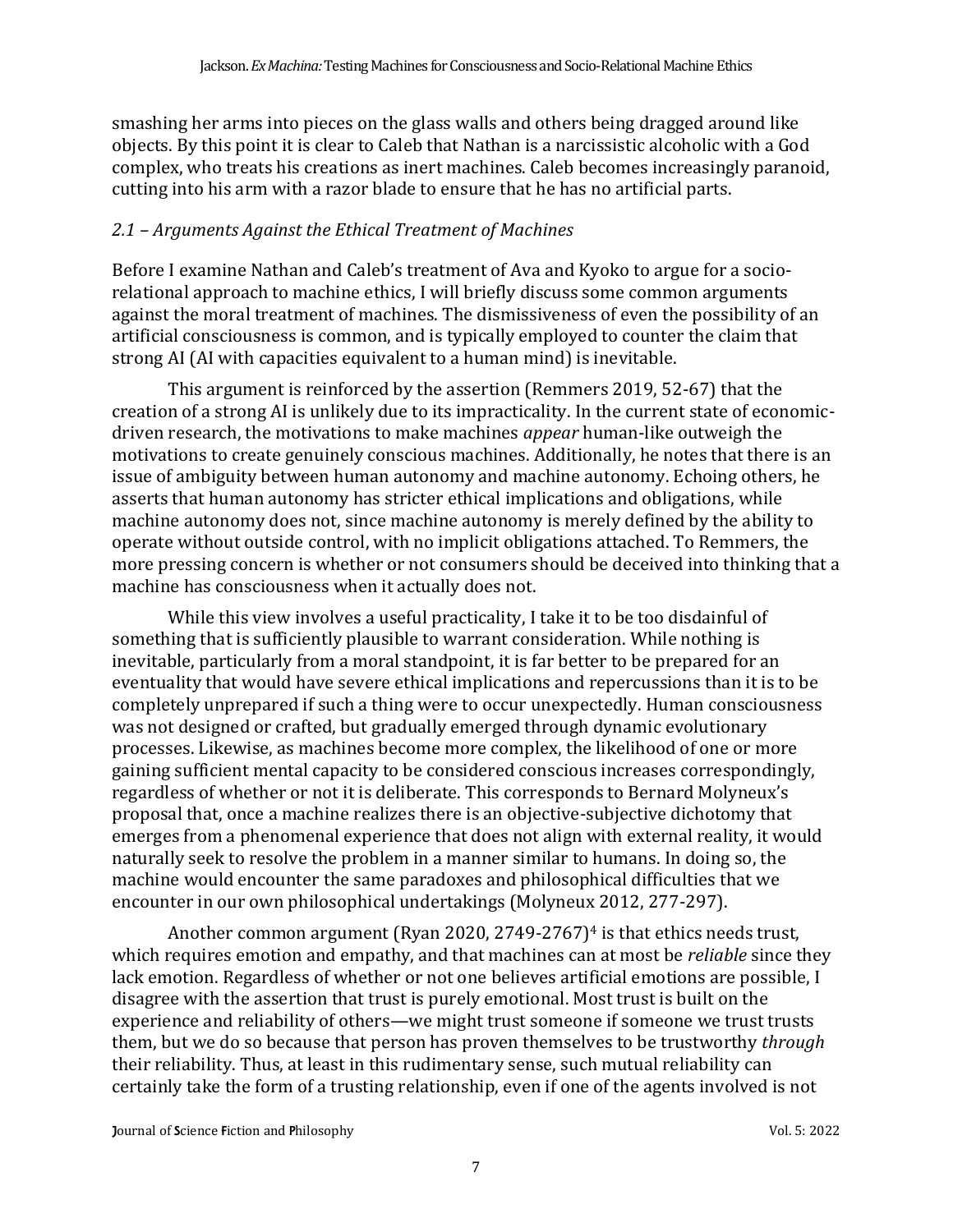smashing her arms into pieces on the glass walls and others being dragged around like objects. By this point it is clear to Caleb that Nathan is a narcissistic alcoholic with a God complex, who treats his creations as inert machines. Caleb becomes increasingly paranoid, cutting into his arm with a razor blade to ensure that he has no artificial parts.

#### *2.1 – Arguments Against the Ethical Treatment of Machines*

Before I examine Nathan and Caleb's treatment of Ava and Kyoko to argue for a sociorelational approach to machine ethics, I will briefly discuss some common arguments against the moral treatment of machines. The dismissiveness of even the possibility of an artificial consciousness is common, and is typically employed to counter the claim that strong AI (AI with capacities equivalent to a human mind) is inevitable.

This argument is reinforced by the assertion (Remmers 2019, 52-67) that the creation of a strong AI is unlikely due to its impracticality. In the current state of economicdriven research, the motivations to make machines *appear* human-like outweigh the motivations to create genuinely conscious machines. Additionally, he notes that there is an issue of ambiguity between human autonomy and machine autonomy. Echoing others, he asserts that human autonomy has stricter ethical implications and obligations, while machine autonomy does not, since machine autonomy is merely defined by the ability to operate without outside control, with no implicit obligations attached. To Remmers, the more pressing concern is whether or not consumers should be deceived into thinking that a machine has consciousness when it actually does not.

While this view involves a useful practicality, I take it to be too disdainful of something that is sufficiently plausible to warrant consideration. While nothing is inevitable, particularly from a moral standpoint, it is far better to be prepared for an eventuality that would have severe ethical implications and repercussions than it is to be completely unprepared if such a thing were to occur unexpectedly. Human consciousness was not designed or crafted, but gradually emerged through dynamic evolutionary processes. Likewise, as machines become more complex, the likelihood of one or more gaining sufficient mental capacity to be considered conscious increases correspondingly, regardless of whether or not it is deliberate. This corresponds to Bernard Molyneux's proposal that, once a machine realizes there is an objective-subjective dichotomy that emerges from a phenomenal experience that does not align with external reality, it would naturally seek to resolve the problem in a manner similar to humans. In doing so, the machine would encounter the same paradoxes and philosophical difficulties that we encounter in our own philosophical undertakings (Molyneux 2012, 277-297).

Another common argument (Ryan 2020, 2749-2767)<sup>4</sup> is that ethics needs trust, which requires emotion and empathy, and that machines can at most be *reliable* since they lack emotion. Regardless of whether or not one believes artificial emotions are possible, I disagree with the assertion that trust is purely emotional. Most trust is built on the experience and reliability of others—we might trust someone if someone we trust trusts them, but we do so because that person has proven themselves to be trustworthy *through* their reliability. Thus, at least in this rudimentary sense, such mutual reliability can certainly take the form of a trusting relationship, even if one of the agents involved is not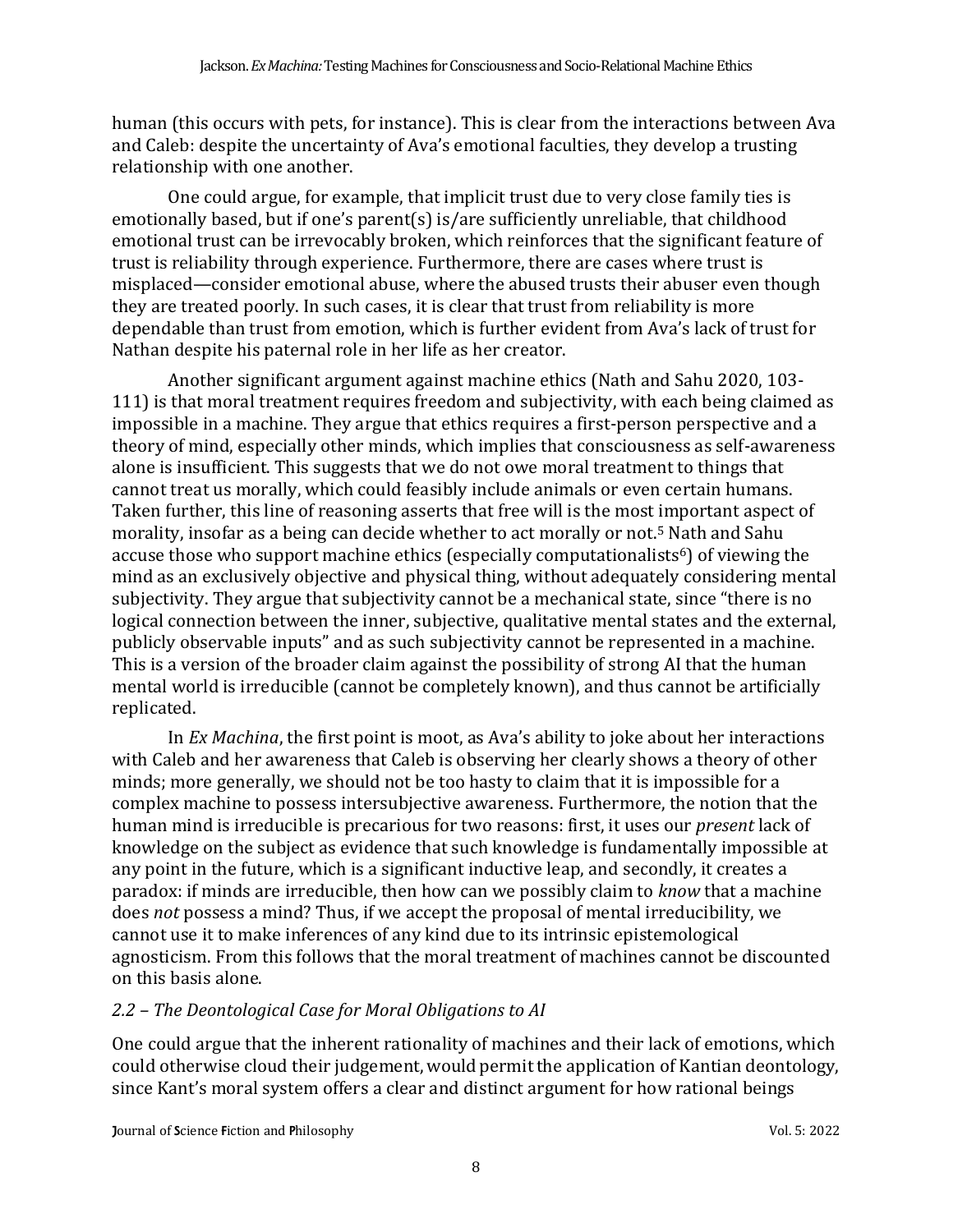human (this occurs with pets, for instance). This is clear from the interactions between Ava and Caleb: despite the uncertainty of Ava's emotional faculties, they develop a trusting relationship with one another.

One could argue, for example, that implicit trust due to very close family ties is emotionally based, but if one's parent(s) is/are sufficiently unreliable, that childhood emotional trust can be irrevocably broken, which reinforces that the significant feature of trust is reliability through experience. Furthermore, there are cases where trust is misplaced—consider emotional abuse, where the abused trusts their abuser even though they are treated poorly. In such cases, it is clear that trust from reliability is more dependable than trust from emotion, which is further evident from Ava's lack of trust for Nathan despite his paternal role in her life as her creator.

Another significant argument against machine ethics (Nath and Sahu 2020, 103- 111) is that moral treatment requires freedom and subjectivity, with each being claimed as impossible in a machine. They argue that ethics requires a first-person perspective and a theory of mind, especially other minds, which implies that consciousness as self-awareness alone is insufficient. This suggests that we do not owe moral treatment to things that cannot treat us morally, which could feasibly include animals or even certain humans. Taken further, this line of reasoning asserts that free will is the most important aspect of morality, insofar as a being can decide whether to act morally or not.<sup>5</sup> Nath and Sahu accuse those who support machine ethics (especially computationalists<sup>6</sup>) of viewing the mind as an exclusively objective and physical thing, without adequately considering mental subjectivity. They argue that subjectivity cannot be a mechanical state, since "there is no logical connection between the inner, subjective, qualitative mental states and the external, publicly observable inputs" and as such subjectivity cannot be represented in a machine. This is a version of the broader claim against the possibility of strong AI that the human mental world is irreducible (cannot be completely known), and thus cannot be artificially replicated.

In *Ex Machina*, the first point is moot, as Ava's ability to joke about her interactions with Caleb and her awareness that Caleb is observing her clearly shows a theory of other minds; more generally, we should not be too hasty to claim that it is impossible for a complex machine to possess intersubjective awareness. Furthermore, the notion that the human mind is irreducible is precarious for two reasons: first, it uses our *present* lack of knowledge on the subject as evidence that such knowledge is fundamentally impossible at any point in the future, which is a significant inductive leap, and secondly, it creates a paradox: if minds are irreducible, then how can we possibly claim to *know* that a machine does *not* possess a mind? Thus, if we accept the proposal of mental irreducibility, we cannot use it to make inferences of any kind due to its intrinsic epistemological agnosticism. From this follows that the moral treatment of machines cannot be discounted on this basis alone.

## *2.2 – The Deontological Case for Moral Obligations to AI*

One could argue that the inherent rationality of machines and their lack of emotions, which could otherwise cloud their judgement,would permitthe application of Kantian deontology, since Kant's moral system offers a clear and distinct argument for how rational beings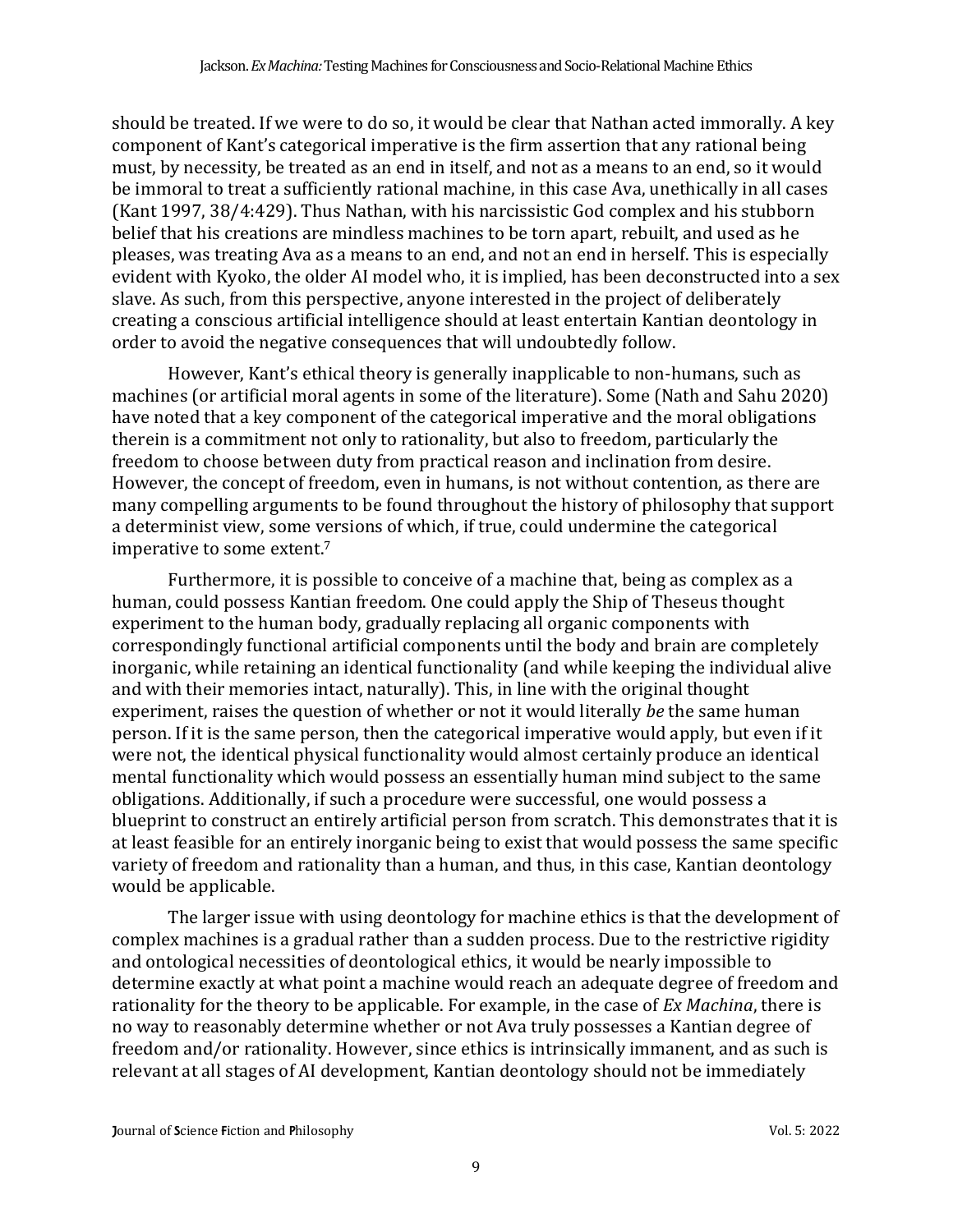should be treated. If we were to do so, it would be clear that Nathan acted immorally. A key component of Kant's categorical imperative is the firm assertion that any rational being must, by necessity, be treated as an end in itself, and not as a means to an end, so it would be immoral to treat a sufficiently rational machine, in this case Ava, unethically in all cases (Kant 1997, 38/4:429). Thus Nathan, with his narcissistic God complex and his stubborn belief that his creations are mindless machines to be torn apart, rebuilt, and used as he pleases, was treating Ava as a means to an end, and not an end in herself. This is especially evident with Kyoko, the older AI model who, it is implied, has been deconstructed into a sex slave. As such, from this perspective, anyone interested in the project of deliberately creating a conscious artificial intelligence should at least entertain Kantian deontology in order to avoid the negative consequences that will undoubtedly follow.

However, Kant's ethical theory is generally inapplicable to non-humans, such as machines (or artificial moral agents in some of the literature). Some (Nath and Sahu 2020) have noted that a key component of the categorical imperative and the moral obligations therein is a commitment not only to rationality, but also to freedom, particularly the freedom to choose between duty from practical reason and inclination from desire. However, the concept of freedom, even in humans, is not without contention, as there are many compelling arguments to be found throughout the history of philosophy that support a determinist view, some versions of which, if true, could undermine the categorical imperative to some extent. 7

Furthermore, it is possible to conceive of a machine that, being as complex as a human, could possess Kantian freedom. One could apply the Ship of Theseus thought experiment to the human body, gradually replacing all organic components with correspondingly functional artificial components until the body and brain are completely inorganic, while retaining an identical functionality (and while keeping the individual alive and with their memories intact, naturally). This, in line with the original thought experiment, raises the question of whether or not it would literally *be* the same human person. If it is the same person, then the categorical imperative would apply, but even if it were not, the identical physical functionality would almost certainly produce an identical mental functionality which would possess an essentially human mind subject to the same obligations. Additionally, if such a procedure were successful, one would possess a blueprint to construct an entirely artificial person from scratch. This demonstrates that it is at least feasible for an entirely inorganic being to exist that would possess the same specific variety of freedom and rationality than a human, and thus, in this case, Kantian deontology would be applicable.

The larger issue with using deontology for machine ethics is that the development of complex machines is a gradual rather than a sudden process. Due to the restrictive rigidity and ontological necessities of deontological ethics, it would be nearly impossible to determine exactly at what point a machine would reach an adequate degree of freedom and rationality for the theory to be applicable. For example, in the case of *Ex Machina*, there is no way to reasonably determine whether or not Ava truly possesses a Kantian degree of freedom and/or rationality. However, since ethics is intrinsically immanent, and as such is relevant at all stages of AI development, Kantian deontology should not be immediately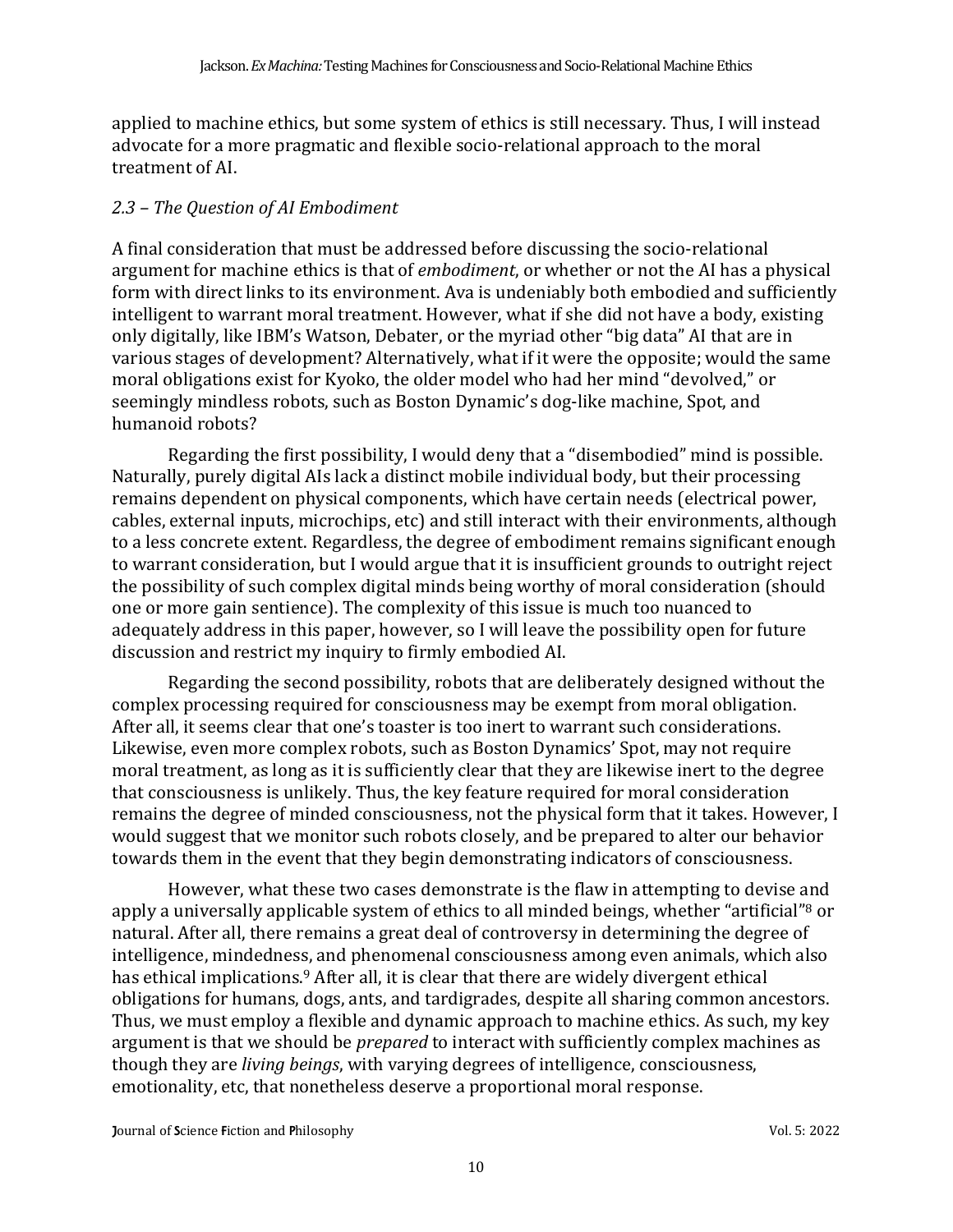applied to machine ethics, but some system of ethics is still necessary. Thus, I will instead advocate for a more pragmatic and flexible socio-relational approach to the moral treatment of AI.

#### *2.3 – The Question of AI Embodiment*

A final consideration that must be addressed before discussing the socio-relational argument for machine ethics is that of *embodiment*, or whether or not the AI has a physical form with direct links to its environment. Ava is undeniably both embodied and sufficiently intelligent to warrant moral treatment. However, what if she did not have a body, existing only digitally, like IBM's Watson, Debater, or the myriad other "big data" AI that are in various stages of development? Alternatively, what if it were the opposite; would the same moral obligations exist for Kyoko, the older model who had her mind "devolved," or seemingly mindless robots, such as Boston Dynamic's dog-like machine, Spot, and humanoid robots?

Regarding the first possibility, I would deny that a "disembodied" mind is possible. Naturally, purely digital AIs lack a distinct mobile individual body, but their processing remains dependent on physical components, which have certain needs (electrical power, cables, external inputs, microchips, etc) and still interact with their environments, although to a less concrete extent. Regardless, the degree of embodiment remains significant enough to warrant consideration, but I would argue that it is insufficient grounds to outright reject the possibility of such complex digital minds being worthy of moral consideration (should one or more gain sentience). The complexity of this issue is much too nuanced to adequately address in this paper, however, so I will leave the possibility open for future discussion and restrict my inquiry to firmly embodied AI.

Regarding the second possibility, robots that are deliberately designed without the complex processing required for consciousness may be exempt from moral obligation. After all, it seems clear that one's toaster is too inert to warrant such considerations. Likewise, even more complex robots, such as Boston Dynamics' Spot, may not require moral treatment, as long as it is sufficiently clear that they are likewise inert to the degree that consciousness is unlikely. Thus, the key feature required for moral consideration remains the degree of minded consciousness, not the physical form that it takes. However, I would suggest that we monitor such robots closely, and be prepared to alter our behavior towards them in the event that they begin demonstrating indicators of consciousness.

However, what these two cases demonstrate is the flaw in attempting to devise and apply a universally applicable system of ethics to all minded beings, whether "artificial"<sup>8</sup> or natural. After all, there remains a great deal of controversy in determining the degree of intelligence, mindedness, and phenomenal consciousness among even animals, which also has ethical implications.<sup>9</sup> After all, it is clear that there are widely divergent ethical obligations for humans, dogs, ants, and tardigrades, despite all sharing common ancestors. Thus, we must employ a flexible and dynamic approach to machine ethics. As such, my key argument is that we should be *prepared* to interact with sufficiently complex machines as though they are *living beings*, with varying degrees of intelligence, consciousness, emotionality, etc, that nonetheless deserve a proportional moral response.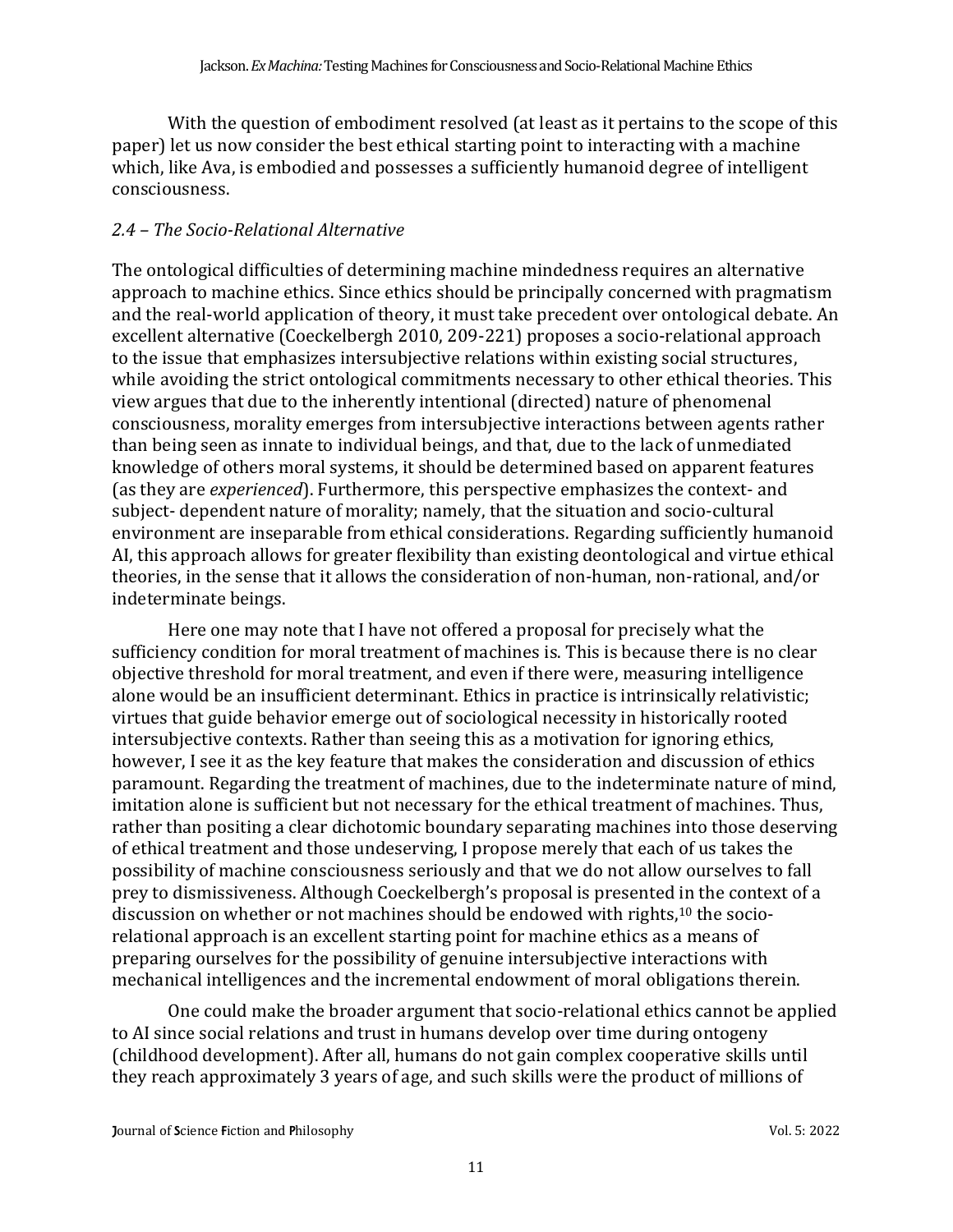With the question of embodiment resolved (at least as it pertains to the scope of this paper) let us now consider the best ethical starting point to interacting with a machine which, like Ava, is embodied and possesses a sufficiently humanoid degree of intelligent consciousness.

## *2.4 – The Socio-Relational Alternative*

The ontological difficulties of determining machine mindedness requires an alternative approach to machine ethics. Since ethics should be principally concerned with pragmatism and the real-world application of theory, it must take precedent over ontological debate. An excellent alternative (Coeckelbergh 2010, 209-221) proposes a socio-relational approach to the issue that emphasizes intersubjective relations within existing social structures, while avoiding the strict ontological commitments necessary to other ethical theories. This view argues that due to the inherently intentional (directed) nature of phenomenal consciousness, morality emerges from intersubjective interactions between agents rather than being seen as innate to individual beings, and that, due to the lack of unmediated knowledge of others moral systems, it should be determined based on apparent features (as they are *experienced*). Furthermore, this perspective emphasizes the context- and subject- dependent nature of morality; namely, that the situation and socio-cultural environment are inseparable from ethical considerations. Regarding sufficiently humanoid AI, this approach allows for greater flexibility than existing deontological and virtue ethical theories, in the sense that it allows the consideration of non-human, non-rational, and/or indeterminate beings.

Here one may note that I have not offered a proposal for precisely what the sufficiency condition for moral treatment of machines is. This is because there is no clear objective threshold for moral treatment, and even if there were, measuring intelligence alone would be an insufficient determinant. Ethics in practice is intrinsically relativistic; virtues that guide behavior emerge out of sociological necessity in historically rooted intersubjective contexts. Rather than seeing this as a motivation for ignoring ethics, however, I see it as the key feature that makes the consideration and discussion of ethics paramount. Regarding the treatment of machines, due to the indeterminate nature of mind, imitation alone is sufficient but not necessary for the ethical treatment of machines. Thus, rather than positing a clear dichotomic boundary separating machines into those deserving of ethical treatment and those undeserving, I propose merely that each of us takes the possibility of machine consciousness seriously and that we do not allow ourselves to fall prey to dismissiveness. Although Coeckelbergh's proposal is presented in the context of a discussion on whether or not machines should be endowed with rights,<sup>10</sup> the sociorelational approach is an excellent starting point for machine ethics as a means of preparing ourselves for the possibility of genuine intersubjective interactions with mechanical intelligences and the incremental endowment of moral obligations therein.

One could make the broader argument that socio-relational ethics cannot be applied to AI since social relations and trust in humans develop over time during ontogeny (childhood development). After all, humans do not gain complex cooperative skills until they reach approximately 3 years of age, and such skills were the product of millions of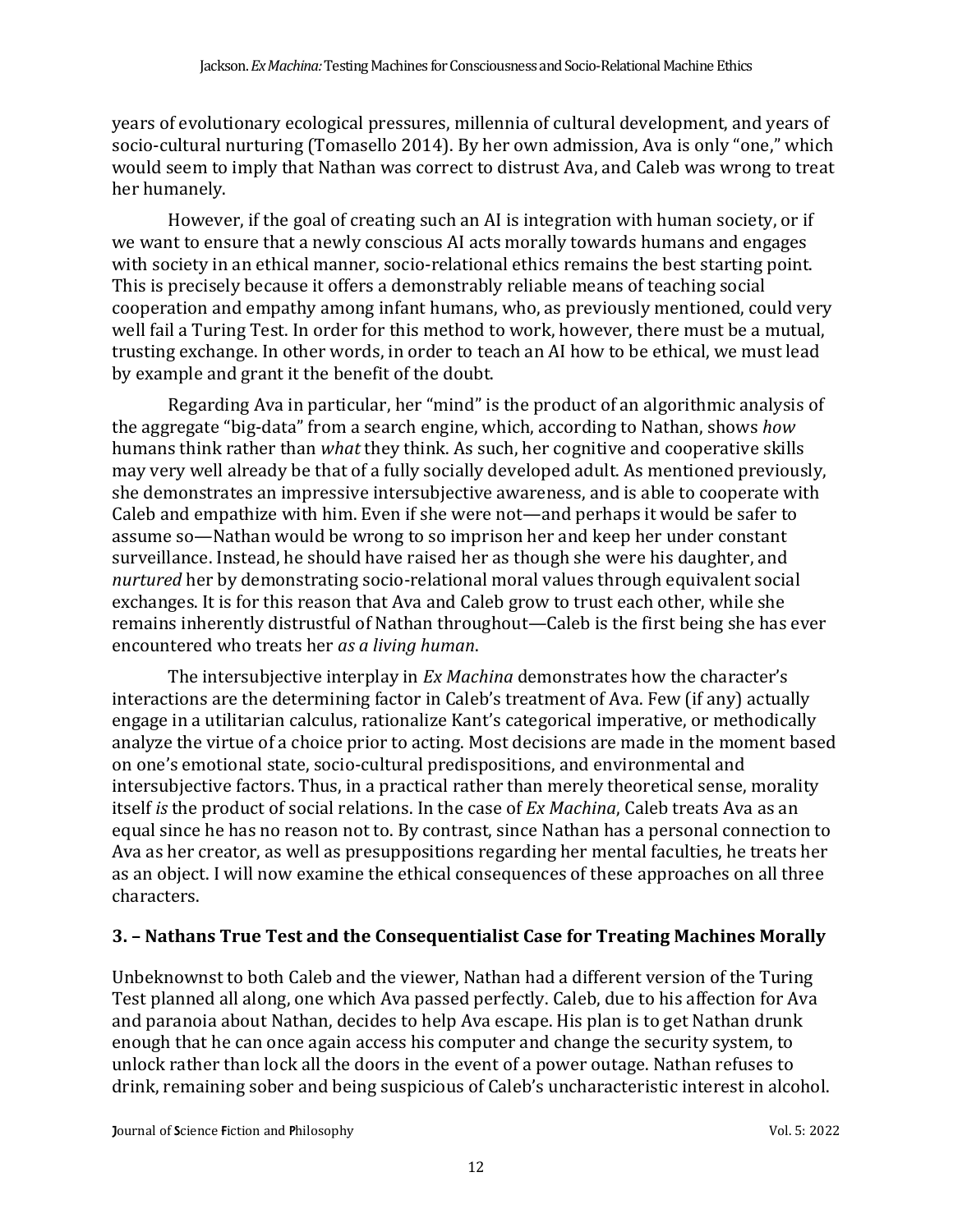years of evolutionary ecological pressures, millennia of cultural development, and years of socio-cultural nurturing (Tomasello 2014). By her own admission, Ava is only "one," which would seem to imply that Nathan was correct to distrust Ava, and Caleb was wrong to treat her humanely.

However, if the goal of creating such an AI is integration with human society, or if we want to ensure that a newly conscious AI acts morally towards humans and engages with society in an ethical manner, socio-relational ethics remains the best starting point. This is precisely because it offers a demonstrably reliable means of teaching social cooperation and empathy among infant humans, who, as previously mentioned, could very well fail a Turing Test. In order for this method to work, however, there must be a mutual, trusting exchange. In other words, in order to teach an AI how to be ethical, we must lead by example and grant it the benefit of the doubt.

Regarding Ava in particular, her "mind" is the product of an algorithmic analysis of the aggregate "big-data" from a search engine, which, according to Nathan, shows *how* humans think rather than *what* they think. As such, her cognitive and cooperative skills may very well already be that of a fully socially developed adult. As mentioned previously, she demonstrates an impressive intersubjective awareness, and is able to cooperate with Caleb and empathize with him. Even if she were not—and perhaps it would be safer to assume so—Nathan would be wrong to so imprison her and keep her under constant surveillance. Instead, he should have raised her as though she were his daughter, and *nurtured* her by demonstrating socio-relational moral values through equivalent social exchanges. It is for this reason that Ava and Caleb grow to trust each other, while she remains inherently distrustful of Nathan throughout—Caleb is the first being she has ever encountered who treats her *as a living human*.

The intersubjective interplay in *Ex Machina* demonstrates how the character's interactions are the determining factor in Caleb's treatment of Ava. Few (if any) actually engage in a utilitarian calculus, rationalize Kant's categorical imperative, or methodically analyze the virtue of a choice prior to acting. Most decisions are made in the moment based on one's emotional state, socio-cultural predispositions, and environmental and intersubjective factors. Thus, in a practical rather than merely theoretical sense, morality itself *is* the product of social relations. In the case of *Ex Machina*, Caleb treats Ava as an equal since he has no reason not to. By contrast, since Nathan has a personal connection to Ava as her creator, as well as presuppositions regarding her mental faculties, he treats her as an object. I will now examine the ethical consequences of these approaches on all three characters.

## **3. – Nathans True Test and the Consequentialist Case for Treating Machines Morally**

Unbeknownst to both Caleb and the viewer, Nathan had a different version of the Turing Test planned all along, one which Ava passed perfectly. Caleb, due to his affection for Ava and paranoia about Nathan, decides to help Ava escape. His plan is to get Nathan drunk enough that he can once again access his computer and change the security system, to unlock rather than lock all the doors in the event of a power outage. Nathan refuses to drink, remaining sober and being suspicious of Caleb's uncharacteristic interest in alcohol.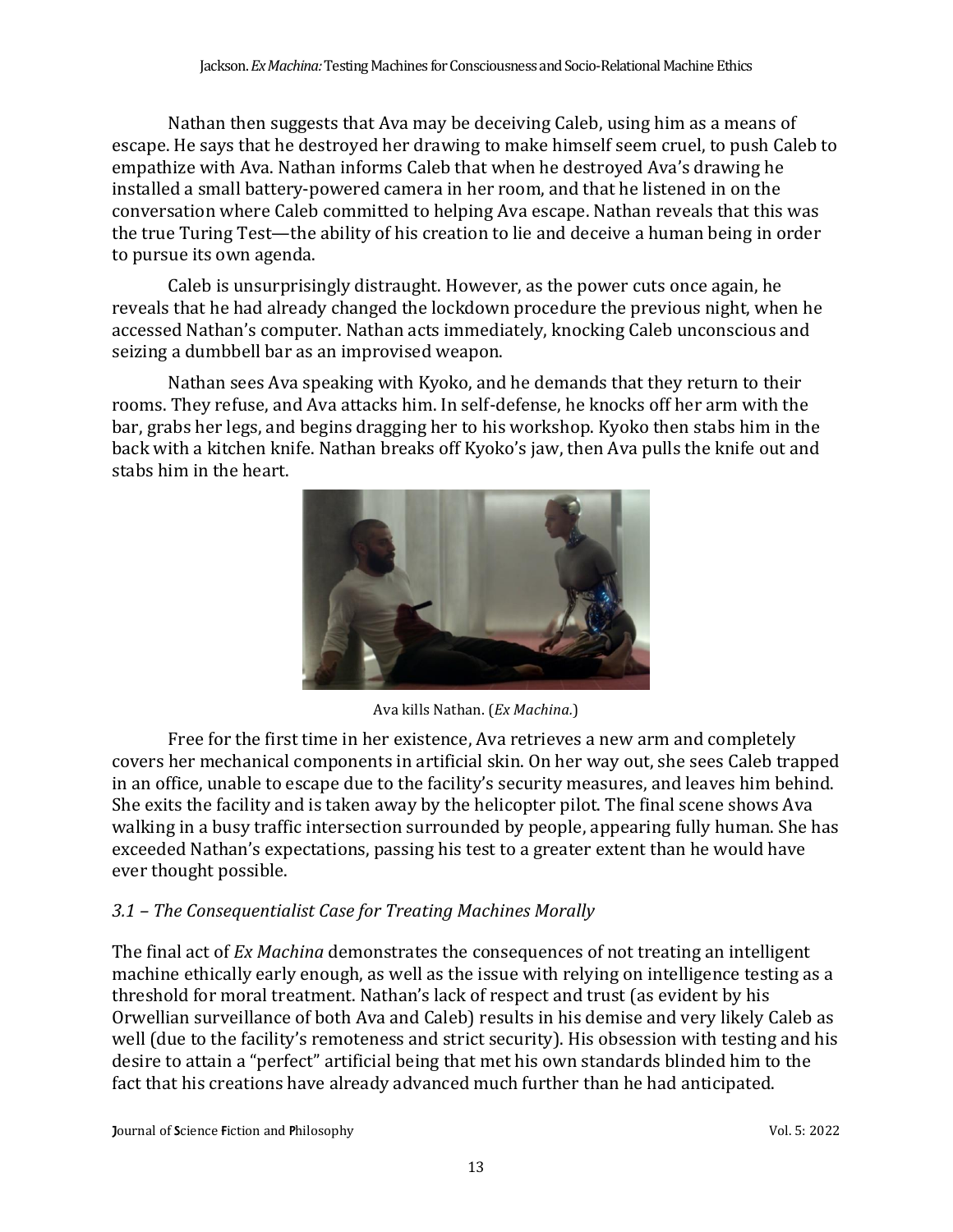Nathan then suggests that Ava may be deceiving Caleb, using him as a means of escape. He says that he destroyed her drawing to make himself seem cruel, to push Caleb to empathize with Ava. Nathan informs Caleb that when he destroyed Ava's drawing he installed a small battery-powered camera in her room, and that he listened in on the conversation where Caleb committed to helping Ava escape. Nathan reveals that this was the true Turing Test—the ability of his creation to lie and deceive a human being in order to pursue its own agenda.

Caleb is unsurprisingly distraught. However, as the power cuts once again, he reveals that he had already changed the lockdown procedure the previous night, when he accessed Nathan's computer. Nathan acts immediately, knocking Caleb unconscious and seizing a dumbbell bar as an improvised weapon.

Nathan sees Ava speaking with Kyoko, and he demands that they return to their rooms. They refuse, and Ava attacks him. In self-defense, he knocks off her arm with the bar, grabs her legs, and begins dragging her to his workshop. Kyoko then stabs him in the back with a kitchen knife. Nathan breaks off Kyoko's jaw, then Ava pulls the knife out and stabs him in the heart.



Ava kills Nathan. (*Ex Machina.*)

Free for the first time in her existence, Ava retrieves a new arm and completely covers her mechanical components in artificial skin. On her way out, she sees Caleb trapped in an office, unable to escape due to the facility's security measures, and leaves him behind. She exits the facility and is taken away by the helicopter pilot. The final scene shows Ava walking in a busy traffic intersection surrounded by people, appearing fully human. She has exceeded Nathan's expectations, passing his test to a greater extent than he would have ever thought possible.

# *3.1 – The Consequentialist Case for Treating Machines Morally*

The final act of *Ex Machina* demonstrates the consequences of not treating an intelligent machine ethically early enough, as well as the issue with relying on intelligence testing as a threshold for moral treatment. Nathan's lack of respect and trust (as evident by his Orwellian surveillance of both Ava and Caleb) results in his demise and very likely Caleb as well (due to the facility's remoteness and strict security). His obsession with testing and his desire to attain a "perfect" artificial being that met his own standards blinded him to the fact that his creations have already advanced much further than he had anticipated.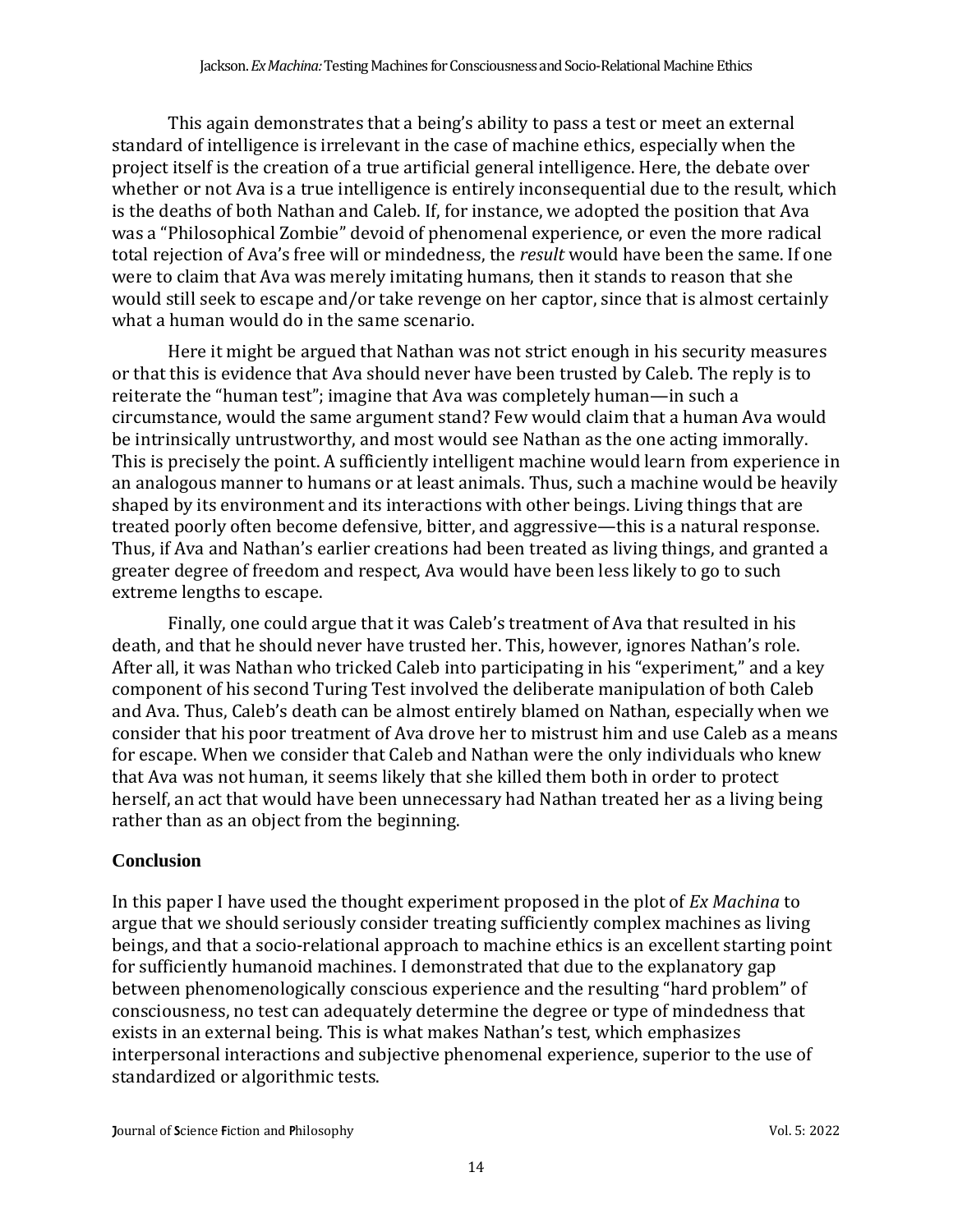This again demonstrates that a being's ability to pass a test or meet an external standard of intelligence is irrelevant in the case of machine ethics, especially when the project itself is the creation of a true artificial general intelligence. Here, the debate over whether or not Ava is a true intelligence is entirely inconsequential due to the result, which is the deaths of both Nathan and Caleb. If, for instance, we adopted the position that Ava was a "Philosophical Zombie" devoid of phenomenal experience, or even the more radical total rejection of Ava's free will or mindedness, the *result* would have been the same. If one were to claim that Ava was merely imitating humans, then it stands to reason that she would still seek to escape and/or take revenge on her captor, since that is almost certainly what a human would do in the same scenario.

Here it might be argued that Nathan was not strict enough in his security measures or that this is evidence that Ava should never have been trusted by Caleb. The reply is to reiterate the "human test"; imagine that Ava was completely human—in such a circumstance, would the same argument stand? Few would claim that a human Ava would be intrinsically untrustworthy, and most would see Nathan as the one acting immorally. This is precisely the point. A sufficiently intelligent machine would learn from experience in an analogous manner to humans or at least animals. Thus, such a machine would be heavily shaped by its environment and its interactions with other beings. Living things that are treated poorly often become defensive, bitter, and aggressive—this is a natural response. Thus, if Ava and Nathan's earlier creations had been treated as living things, and granted a greater degree of freedom and respect, Ava would have been less likely to go to such extreme lengths to escape.

Finally, one could argue that it was Caleb's treatment of Ava that resulted in his death, and that he should never have trusted her. This, however, ignores Nathan's role. After all, it was Nathan who tricked Caleb into participating in his "experiment," and a key component of his second Turing Test involved the deliberate manipulation of both Caleb and Ava. Thus, Caleb's death can be almost entirely blamed on Nathan, especially when we consider that his poor treatment of Ava drove her to mistrust him and use Caleb as a means for escape. When we consider that Caleb and Nathan were the only individuals who knew that Ava was not human, it seems likely that she killed them both in order to protect herself, an act that would have been unnecessary had Nathan treated her as a living being rather than as an object from the beginning.

## **Conclusion**

In this paper I have used the thought experiment proposed in the plot of *Ex Machina* to argue that we should seriously consider treating sufficiently complex machines as living beings, and that a socio-relational approach to machine ethics is an excellent starting point for sufficiently humanoid machines. I demonstrated that due to the explanatory gap between phenomenologically conscious experience and the resulting "hard problem" of consciousness, no test can adequately determine the degree or type of mindedness that exists in an external being. This is what makes Nathan's test, which emphasizes interpersonal interactions and subjective phenomenal experience, superior to the use of standardized or algorithmic tests.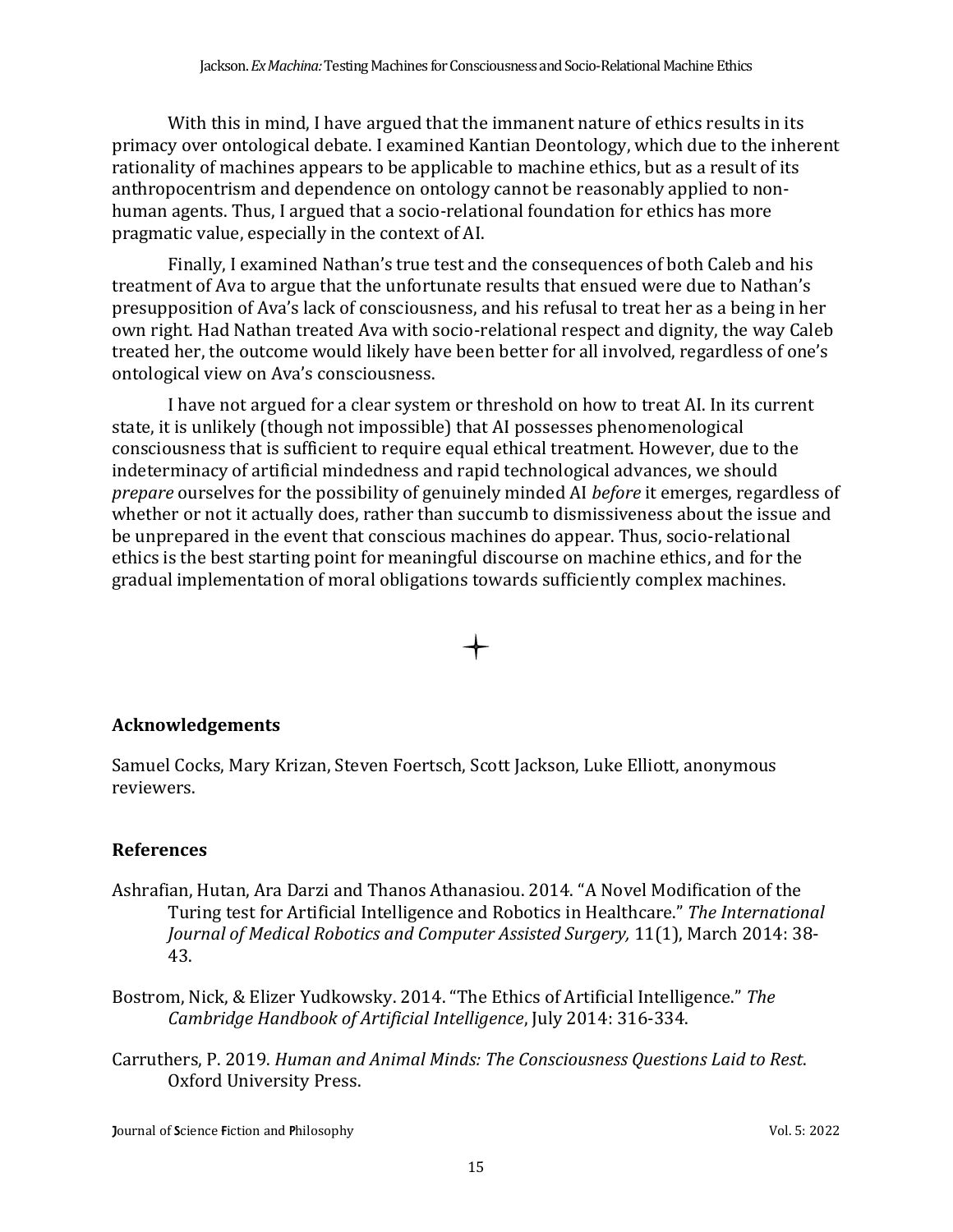With this in mind, I have argued that the immanent nature of ethics results in its primacy over ontological debate. I examined Kantian Deontology, which due to the inherent rationality of machines appears to be applicable to machine ethics, but as a result of its anthropocentrism and dependence on ontology cannot be reasonably applied to nonhuman agents. Thus, I argued that a socio-relational foundation for ethics has more pragmatic value, especially in the context of AI.

Finally, I examined Nathan's true test and the consequences of both Caleb and his treatment of Ava to argue that the unfortunate results that ensued were due to Nathan's presupposition of Ava's lack of consciousness, and his refusal to treat her as a being in her own right. Had Nathan treated Ava with socio-relational respect and dignity, the way Caleb treated her, the outcome would likely have been better for all involved, regardless of one's ontological view on Ava's consciousness.

I have not argued for a clear system or threshold on how to treat AI. In its current state, it is unlikely (though not impossible) that AI possesses phenomenological consciousness that is sufficient to require equal ethical treatment. However, due to the indeterminacy of artificial mindedness and rapid technological advances, we should *prepare* ourselves for the possibility of genuinely minded AI *before* it emerges, regardless of whether or not it actually does, rather than succumb to dismissiveness about the issue and be unprepared in the event that conscious machines do appear. Thus, socio-relational ethics is the best starting point for meaningful discourse on machine ethics, and for the gradual implementation of moral obligations towards sufficiently complex machines.

## **Acknowledgements**

Samuel Cocks, Mary Krizan, Steven Foertsch, Scott Jackson, Luke Elliott, anonymous reviewers.

## **References**

- Ashrafian, Hutan, Ara Darzi and Thanos Athanasiou. 2014. "A Novel Modification of the Turing test for Artificial Intelligence and Robotics in Healthcare." *The International Journal of Medical Robotics and Computer Assisted Surgery,* 11(1), March 2014: 38- 43.
- Bostrom, Nick, & Elizer Yudkowsky. 2014. "The Ethics of Artificial Intelligence." *The Cambridge Handbook of Artificial Intelligence*, July 2014: 316-334.
- Carruthers, P. 2019. *Human and Animal Minds: The Consciousness Questions Laid to Rest*. Oxford University Press.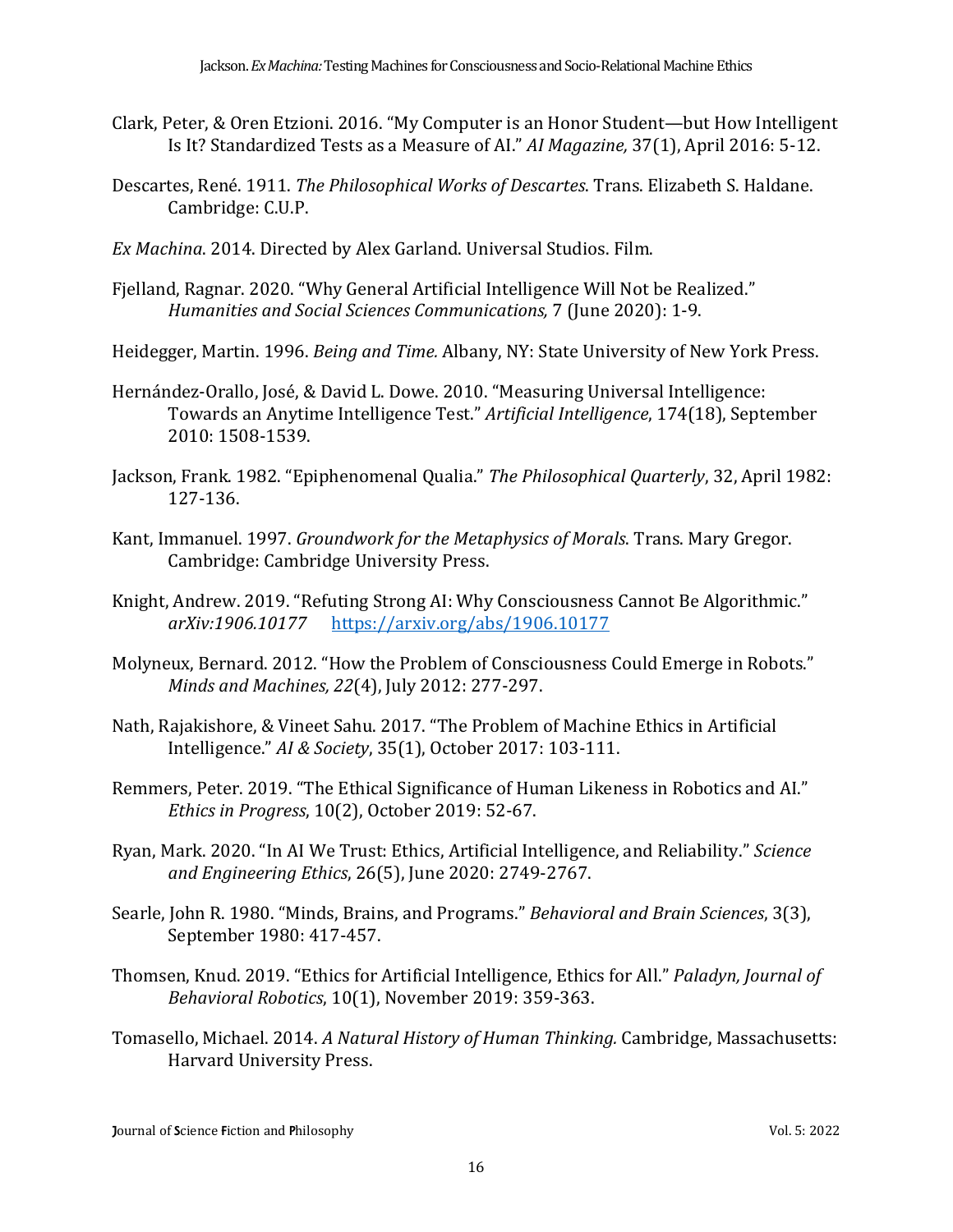- Clark, Peter, & Oren Etzioni. 2016. "My Computer is an Honor Student—but How Intelligent Is It? Standardized Tests as a Measure of AI." *AI Magazine,* 37(1), April 2016: 5-12.
- Descartes, René. 1911. *The Philosophical Works of Descartes*. Trans. Elizabeth S. Haldane. Cambridge: C.U.P.
- *Ex Machina*. 2014. Directed by Alex Garland. Universal Studios. Film.
- Fjelland, Ragnar. 2020. "Why General Artificial Intelligence Will Not be Realized." *Humanities and Social Sciences Communications,* 7 (June 2020): 1-9.
- Heidegger, Martin. 1996. *Being and Time.* Albany, NY: State University of New York Press.
- Hernández-Orallo, José, & David L. Dowe. 2010. "Measuring Universal Intelligence: Towards an Anytime Intelligence Test." *Artificial Intelligence*, 174(18), September 2010: 1508-1539.
- Jackson, Frank. 1982. "Epiphenomenal Qualia." *The Philosophical Quarterly*, 32, April 1982: 127-136.
- Kant, Immanuel. 1997. *Groundwork for the Metaphysics of Morals*. Trans. Mary Gregor. Cambridge: Cambridge University Press.
- Knight, Andrew. 2019. "Refuting Strong AI: Why Consciousness Cannot Be Algorithmic." *arXiv:1906.10177* [https://arxiv.org/abs/1906.10177](about:blank)
- Molyneux, Bernard. 2012. "How the Problem of Consciousness Could Emerge in Robots." *Minds and Machines, 22*(4), July 2012: 277-297.
- Nath, Rajakishore, & Vineet Sahu. 2017. "The Problem of Machine Ethics in Artificial Intelligence." *AI & Society*, 35(1), October 2017: 103-111.
- Remmers, Peter. 2019. "The Ethical Significance of Human Likeness in Robotics and AI." *Ethics in Progress*, 10(2), October 2019: 52-67.
- Ryan, Mark. 2020. "In AI We Trust: Ethics, Artificial Intelligence, and Reliability." *Science and Engineering Ethics*, 26(5), June 2020: 2749-2767.
- Searle, John R. 1980. "Minds, Brains, and Programs." *Behavioral and Brain Sciences*, 3(3), September 1980: 417-457.
- Thomsen, Knud. 2019. "Ethics for Artificial Intelligence, Ethics for All." *Paladyn, Journal of Behavioral Robotics*, 10(1), November 2019: 359-363.
- Tomasello, Michael. 2014. *A Natural History of Human Thinking.* Cambridge, Massachusetts: Harvard University Press.